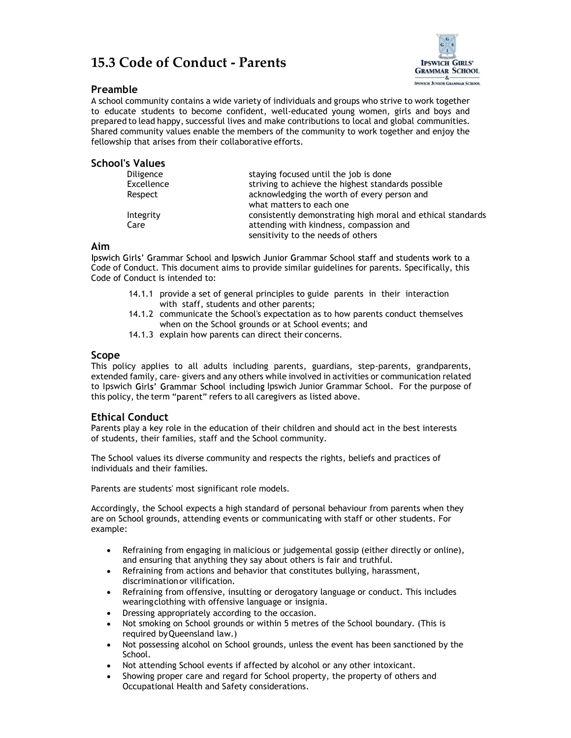# 15.3 Code of Conduct - Parents



# Preamble

A school community contains a wide variety of individuals and groups who strive to work together to educate students to become confident, well-educated young women, girls and boys and prepared to lead happy, successful lives and make contributions to local and global communities. Shared community values enable the members of the community to work together and enjoy the fellowship that arises from their collaborative efforts.

# School's Values

| <b>Diligence</b> | staying focused until the job is done                       |
|------------------|-------------------------------------------------------------|
| Excellence       | striving to achieve the highest standards possible          |
| Respect          | acknowledging the worth of every person and                 |
|                  | what matters to each one                                    |
| Integrity        | consistently demonstrating high moral and ethical standards |
| Care             | attending with kindness, compassion and                     |
|                  | sensitivity to the needs of others                          |

#### Aim

Ipswich Girls' Grammar School and Ipswich Junior Grammar School staff and students work to a Code of Conduct. This document aims to provide similar guidelines for parents. Specifically, this Code of Conduct is intended to:

- 14.1.1 provide a set of general principles to guide parents in their interaction with staff, students and other parents;
- 14.1.2 communicate the School's expectation as to how parents conduct themselves when on the School grounds or at School events; and
- 14.1.3 explain how parents can direct their concerns.

#### Scope

This policy applies to all adults including parents, guardians, step-parents, grandparents, extended family, care- givers and any others while involved in activities or communication related to Ipswich Girls' Grammar School including Ipswich Junior Grammar School. For the purpose of this policy, the term "parent" refers to all caregivers as listed above.

# Ethical Conduct

Parents play a key role in the education of their children and should act in the best interests of students, their families, staff and the School community.

The School values its diverse community and respects the rights, beliefs and practices of individuals and their families.

Parents are students' most significant role models.

Accordingly, the School expects a high standard of personal behaviour from parents when they are on School grounds, attending events or communicating with staff or other students. For example:

- $\bullet$ Refraining from engaging in malicious or judgemental gossip (either directly or online), and ensuring that anything they say about others is fair and truthful.
- Refraining from actions and behavior that constitutes bullying, harassment,  $\bullet$ discrimination or vilification.
- Refraining from offensive, insulting or derogatory language or conduct. This includes  $\bullet$ wearing clothing with offensive language or insignia.
- Dressing appropriately according to the occasion.
- Not smoking on School grounds or within 5 metres of the School boundary. (This is required by Queensland law.)
- Not possessing alcohol on School grounds, unless the event has been sanctioned by the School.
- Not attending School events if affected by alcohol or any other intoxicant.
- Showing proper care and regard for School property, the property of others and Occupational Health and Safety considerations.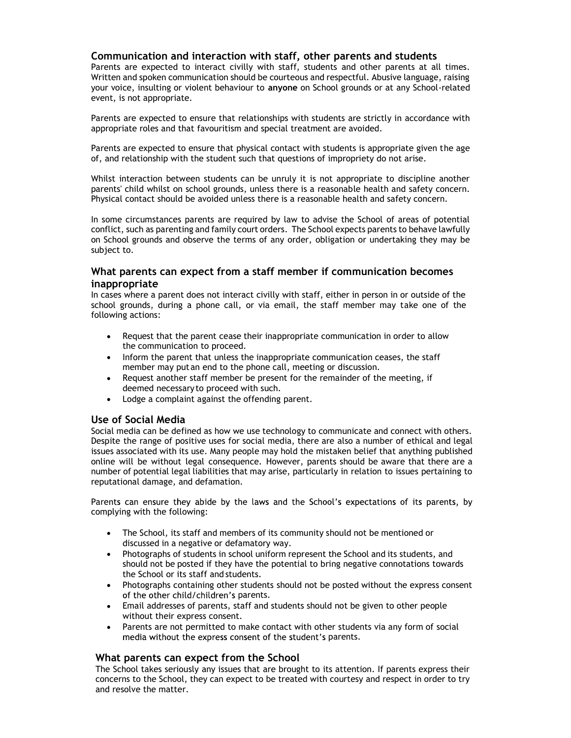### Communication and interaction with staff, other parents and students

Parents are expected to interact civilly with staff, students and other parents at all times. Written and spoken communication should be courteous and respectful. Abusive language, raising your voice, insulting or violent behaviour to anyone on School grounds or at any School-related event, is not appropriate.

Parents are expected to ensure that relationships with students are strictly in accordance with appropriate roles and that favouritism and special treatment are avoided.

Parents are expected to ensure that physical contact with students is appropriate given the age of, and relationship with the student such that questions of impropriety do not arise.

Whilst interaction between students can be unruly it is not appropriate to discipline another parents' child whilst on school grounds, unless there is a reasonable health and safety concern. Physical contact should be avoided unless there is a reasonable health and safety concern.

In some circumstances parents are required by law to advise the School of areas of potential conflict, such as parenting and family court orders. The School expects parents to behave lawfully on School grounds and observe the terms of any order, obligation or undertaking they may be subject to.

#### What parents can expect from a staff member if communication becomes inappropriate

In cases where a parent does not interact civilly with staff, either in person in or outside of the school grounds, during a phone call, or via email, the staff member may take one of the following actions:

- Request that the parent cease their inappropriate communication in order to allow  $\bullet$ the communication to proceed.
- Inform the parent that unless the inappropriate communication ceases, the staff member may put an end to the phone call, meeting or discussion.
- Request another staff member be present for the remainder of the meeting, if deemed necessary to proceed with such.
- Lodge a complaint against the offending parent.

# Use of Social Media

Social media can be defined as how we use technology to communicate and connect with others. Despite the range of positive uses for social media, there are also a number of ethical and legal issues associated with its use. Many people may hold the mistaken belief that anything published online will be without legal consequence. However, parents should be aware that there are a number of potential legal liabilities that may arise, particularly in relation to issues pertaining to reputational damage, and defamation.

Parents can ensure they abide by the laws and the School's expectations of its parents, by complying with the following:

- The School, its staff and members of its community should not be mentioned or  $\bullet$ discussed in a negative or defamatory way.
- Photographs of students in school uniform represent the School and its students, and should not be posted if they have the potential to bring negative connotations towards the School or its staff and students.
- Photographs containing other students should not be posted without the express consent of the other child/children's parents.
- Email addresses of parents, staff and students should not be given to other people without their express consent.
- Parents are not permitted to make contact with other students via any form of social media without the express consent of the student's parents.

#### What parents can expect from the School

The School takes seriously any issues that are brought to its attention. If parents express their concerns to the School, they can expect to be treated with courtesy and respect in order to try and resolve the matter.